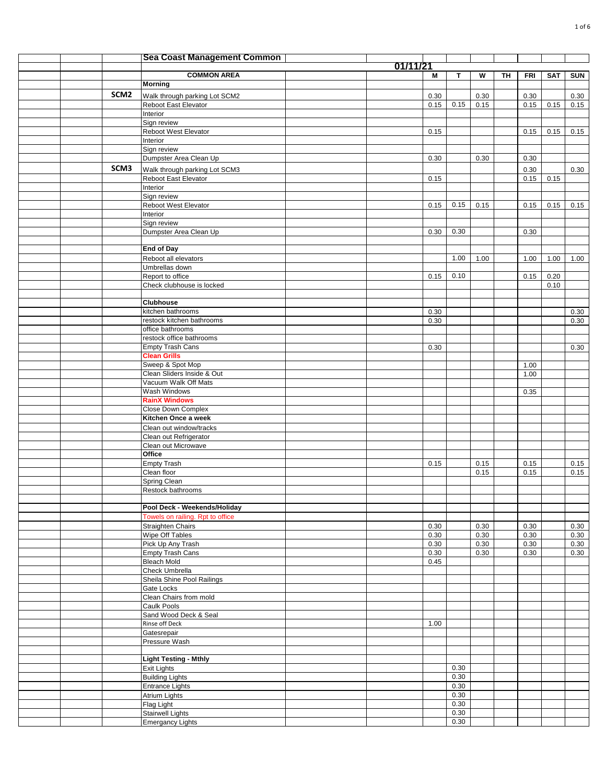|  |                  | <b>Sea Coast Management Common</b>                    |          |              |              |              |    |              |            |              |
|--|------------------|-------------------------------------------------------|----------|--------------|--------------|--------------|----|--------------|------------|--------------|
|  |                  |                                                       | 01/11/21 |              |              |              |    |              |            |              |
|  |                  | <b>COMMON AREA</b><br><b>Morning</b>                  |          | м            | $\mathbf{T}$ | W            | TH | <b>FRI</b>   | <b>SAT</b> | <b>SUN</b>   |
|  | SCM <sub>2</sub> |                                                       |          |              |              |              |    |              |            |              |
|  |                  | Walk through parking Lot SCM2<br>Reboot East Elevator |          | 0.30<br>0.15 | 0.15         | 0.30<br>0.15 |    | 0.30<br>0.15 | 0.15       | 0.30<br>0.15 |
|  |                  | Interior                                              |          |              |              |              |    |              |            |              |
|  |                  | Sign review                                           |          |              |              |              |    |              |            |              |
|  |                  | Reboot West Elevator                                  |          | 0.15         |              |              |    | 0.15         | 0.15       | 0.15         |
|  |                  | Interior                                              |          |              |              |              |    |              |            |              |
|  |                  | Sign review<br>Dumpster Area Clean Up                 |          | 0.30         |              | 0.30         |    | 0.30         |            |              |
|  | SCM3             | Walk through parking Lot SCM3                         |          |              |              |              |    | 0.30         |            | 0.30         |
|  |                  | Reboot East Elevator                                  |          | 0.15         |              |              |    | 0.15         | 0.15       |              |
|  |                  | Interior                                              |          |              |              |              |    |              |            |              |
|  |                  | Sign review                                           |          |              |              |              |    |              |            |              |
|  |                  | Reboot West Elevator                                  |          | 0.15         | 0.15         | 0.15         |    | 0.15         | 0.15       | 0.15         |
|  |                  | Interior<br>Sign review                               |          |              |              |              |    |              |            |              |
|  |                  | Dumpster Area Clean Up                                |          | 0.30         | 0.30         |              |    | 0.30         |            |              |
|  |                  |                                                       |          |              |              |              |    |              |            |              |
|  |                  | <b>End of Day</b>                                     |          |              |              |              |    |              |            |              |
|  |                  | Reboot all elevators                                  |          |              | 1.00         | 1.00         |    | 1.00         | 1.00       | 1.00         |
|  |                  | Umbrellas down<br>Report to office                    |          | 0.15         | 0.10         |              |    | 0.15         | 0.20       |              |
|  |                  | Check clubhouse is locked                             |          |              |              |              |    |              | 0.10       |              |
|  |                  |                                                       |          |              |              |              |    |              |            |              |
|  |                  | <b>Clubhouse</b>                                      |          |              |              |              |    |              |            |              |
|  |                  | kitchen bathrooms                                     |          | 0.30         |              |              |    |              |            | 0.30         |
|  |                  | restock kitchen bathrooms<br>office bathrooms         |          | 0.30         |              |              |    |              |            | 0.30         |
|  |                  | restock office bathrooms                              |          |              |              |              |    |              |            |              |
|  |                  | <b>Empty Trash Cans</b>                               |          | 0.30         |              |              |    |              |            | 0.30         |
|  |                  | <b>Clean Grills</b>                                   |          |              |              |              |    |              |            |              |
|  |                  | Sweep & Spot Mop                                      |          |              |              |              |    | 1.00         |            |              |
|  |                  | Clean Sliders Inside & Out<br>Vacuum Walk Off Mats    |          |              |              |              |    | 1.00         |            |              |
|  |                  | Wash Windows                                          |          |              |              |              |    | 0.35         |            |              |
|  |                  | <b>RainX Windows</b>                                  |          |              |              |              |    |              |            |              |
|  |                  | Close Down Complex                                    |          |              |              |              |    |              |            |              |
|  |                  | Kitchen Once a week                                   |          |              |              |              |    |              |            |              |
|  |                  | Clean out window/tracks                               |          |              |              |              |    |              |            |              |
|  |                  | Clean out Refrigerator<br>Clean out Microwave         |          |              |              |              |    |              |            |              |
|  |                  | Office                                                |          |              |              |              |    |              |            |              |
|  |                  | <b>Empty Trash</b>                                    |          | 0.15         |              | 0.15         |    | 0.15         |            | 0.15         |
|  |                  | Clean floor                                           |          |              |              | 0.15         |    | 0.15         |            | 0.15         |
|  |                  | Spring Clean                                          |          |              |              |              |    |              |            |              |
|  |                  | Restock bathrooms                                     |          |              |              |              |    |              |            |              |
|  |                  | Pool Deck - Weekends/Holiday                          |          |              |              |              |    |              |            |              |
|  |                  | Towels on railing. Rpt to office                      |          |              |              |              |    |              |            |              |
|  |                  | <b>Straighten Chairs</b>                              |          | 0.30         |              | 0.30         |    | 0.30         |            | 0.30         |
|  |                  | Wipe Off Tables                                       |          | 0.30         |              | 0.30         |    | 0.30         |            | 0.30         |
|  |                  | Pick Up Any Trash<br>Empty Trash Cans                 |          | 0.30<br>0.30 |              | 0.30         |    | 0.30<br>0.30 |            | 0.30<br>0.30 |
|  |                  | <b>Bleach Mold</b>                                    |          | 0.45         |              | 0.30         |    |              |            |              |
|  |                  | Check Umbrella                                        |          |              |              |              |    |              |            |              |
|  |                  | Sheila Shine Pool Railings                            |          |              |              |              |    |              |            |              |
|  |                  | Gate Locks                                            |          |              |              |              |    |              |            |              |
|  |                  | Clean Chairs from mold<br>Caulk Pools                 |          |              |              |              |    |              |            |              |
|  |                  | Sand Wood Deck & Seal                                 |          |              |              |              |    |              |            |              |
|  |                  | Rinse off Deck                                        |          | 1.00         |              |              |    |              |            |              |
|  |                  | Gatesrepair                                           |          |              |              |              |    |              |            |              |
|  |                  | Pressure Wash                                         |          |              |              |              |    |              |            |              |
|  |                  | <b>Light Testing - Mthly</b>                          |          |              |              |              |    |              |            |              |
|  |                  | <b>Exit Lights</b>                                    |          |              | 0.30         |              |    |              |            |              |
|  |                  | <b>Building Lights</b>                                |          |              | 0.30         |              |    |              |            |              |
|  |                  | <b>Entrance Lights</b>                                |          |              | 0.30         |              |    |              |            |              |
|  |                  | Atrium Lights                                         |          |              | 0.30         |              |    |              |            |              |
|  |                  | Flag Light                                            |          |              | 0.30<br>0.30 |              |    |              |            |              |
|  |                  | <b>Stairwell Lights</b><br><b>Emergancy Lights</b>    |          |              | 0.30         |              |    |              |            |              |
|  |                  |                                                       |          |              |              |              |    |              |            |              |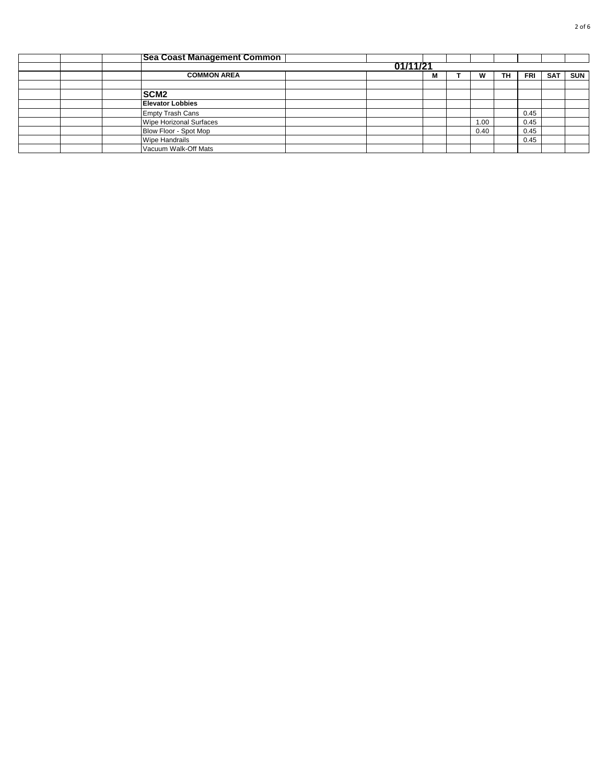|  | <b>Sea Coast Management Common</b> |          |   |      |    |      |            |            |
|--|------------------------------------|----------|---|------|----|------|------------|------------|
|  |                                    | 01/11/21 |   |      |    |      |            |            |
|  | <b>COMMON AREA</b>                 |          | М |      | TH | FRI  | <b>SAT</b> | <b>SUN</b> |
|  |                                    |          |   |      |    |      |            |            |
|  | SCM <sub>2</sub>                   |          |   |      |    |      |            |            |
|  | <b>Elevator Lobbies</b>            |          |   |      |    |      |            |            |
|  | <b>Empty Trash Cans</b>            |          |   |      |    | 0.45 |            |            |
|  | Wipe Horizonal Surfaces            |          |   | 1.00 |    | 0.45 |            |            |
|  | Blow Floor - Spot Mop              |          |   | 0.40 |    | 0.45 |            |            |
|  | <b>Wipe Handrails</b>              |          |   |      |    | 0.45 |            |            |
|  | Vacuum Walk-Off Mats               |          |   |      |    |      |            |            |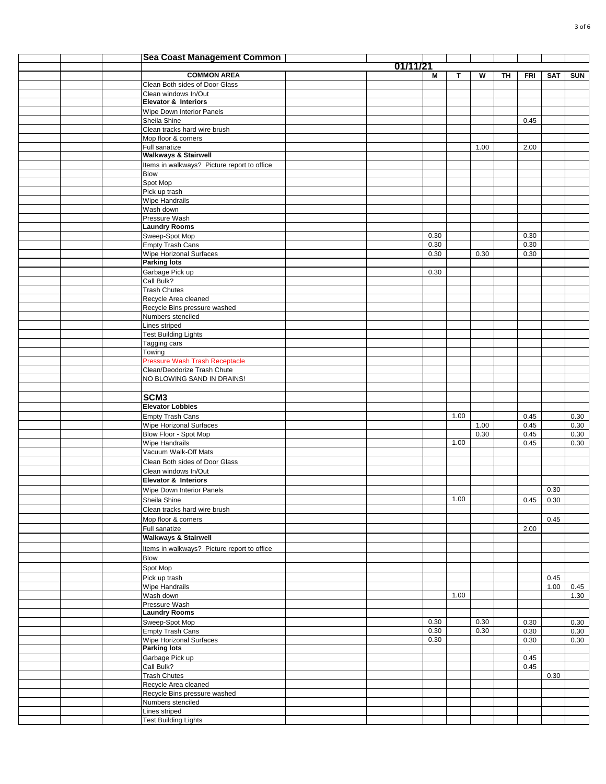|  | <b>Sea Coast Management Common</b>                     |          |      |      |      |    |            |            |              |
|--|--------------------------------------------------------|----------|------|------|------|----|------------|------------|--------------|
|  |                                                        | 01/11/21 |      |      |      |    |            |            |              |
|  | <b>COMMON AREA</b>                                     |          | М    | T    | W    | TΗ | <b>FRI</b> | <b>SAT</b> | <b>SUN</b>   |
|  | Clean Both sides of Door Glass<br>Clean windows In/Out |          |      |      |      |    |            |            |              |
|  | <b>Elevator &amp; Interiors</b>                        |          |      |      |      |    |            |            |              |
|  | Wipe Down Interior Panels                              |          |      |      |      |    |            |            |              |
|  | Sheila Shine                                           |          |      |      |      |    | 0.45       |            |              |
|  | Clean tracks hard wire brush                           |          |      |      |      |    |            |            |              |
|  | Mop floor & corners                                    |          |      |      |      |    |            |            |              |
|  | Full sanatize<br><b>Walkways &amp; Stairwell</b>       |          |      |      | 1.00 |    | 2.00       |            |              |
|  | Items in walkways? Picture report to office            |          |      |      |      |    |            |            |              |
|  | <b>Blow</b>                                            |          |      |      |      |    |            |            |              |
|  | Spot Mop                                               |          |      |      |      |    |            |            |              |
|  | Pick up trash                                          |          |      |      |      |    |            |            |              |
|  | Wipe Handrails<br>Wash down                            |          |      |      |      |    |            |            |              |
|  | Pressure Wash                                          |          |      |      |      |    |            |            |              |
|  | <b>Laundry Rooms</b>                                   |          |      |      |      |    |            |            |              |
|  | Sweep-Spot Mop                                         |          | 0.30 |      |      |    | 0.30       |            |              |
|  | Empty Trash Cans                                       |          | 0.30 |      |      |    | 0.30       |            |              |
|  | Wipe Horizonal Surfaces<br><b>Parking lots</b>         |          | 0.30 |      | 0.30 |    | 0.30       |            |              |
|  | Garbage Pick up                                        |          | 0.30 |      |      |    |            |            |              |
|  | Call Bulk?                                             |          |      |      |      |    |            |            |              |
|  | <b>Trash Chutes</b>                                    |          |      |      |      |    |            |            |              |
|  | Recycle Area cleaned                                   |          |      |      |      |    |            |            |              |
|  | Recycle Bins pressure washed                           |          |      |      |      |    |            |            |              |
|  | Numbers stenciled<br>Lines striped                     |          |      |      |      |    |            |            |              |
|  | <b>Test Building Lights</b>                            |          |      |      |      |    |            |            |              |
|  | Tagging cars                                           |          |      |      |      |    |            |            |              |
|  | Towing                                                 |          |      |      |      |    |            |            |              |
|  | <b>Pressure Wash Trash Receptacle</b>                  |          |      |      |      |    |            |            |              |
|  | Clean/Deodorize Trash Chute                            |          |      |      |      |    |            |            |              |
|  | NO BLOWING SAND IN DRAINS!                             |          |      |      |      |    |            |            |              |
|  | SCM <sub>3</sub>                                       |          |      |      |      |    |            |            |              |
|  | <b>Elevator Lobbies</b>                                |          |      |      |      |    |            |            |              |
|  | <b>Empty Trash Cans</b>                                |          |      | 1.00 |      |    | 0.45       |            | 0.30         |
|  | <b>Wipe Horizonal Surfaces</b>                         |          |      |      | 1.00 |    | 0.45       |            | 0.30         |
|  | Blow Floor - Spot Mop<br><b>Wipe Handrails</b>         |          |      | 1.00 | 0.30 |    | 0.45       |            | 0.30<br>0.30 |
|  | Vacuum Walk-Off Mats                                   |          |      |      |      |    | 0.45       |            |              |
|  | Clean Both sides of Door Glass                         |          |      |      |      |    |            |            |              |
|  | Clean windows In/Out                                   |          |      |      |      |    |            |            |              |
|  | Elevator & Interiors                                   |          |      |      |      |    |            |            |              |
|  | Wipe Down Interior Panels                              |          |      |      |      |    |            | 0.30       |              |
|  | Sheila Shine                                           |          |      | 1.00 |      |    | 0.45       | 0.30       |              |
|  | Clean tracks hard wire brush                           |          |      |      |      |    |            |            |              |
|  | Mop floor & corners                                    |          |      |      |      |    |            | 0.45       |              |
|  | Full sanatize<br><b>Walkways &amp; Stairwell</b>       |          |      |      |      |    | 2.00       |            |              |
|  | Items in walkways? Picture report to office            |          |      |      |      |    |            |            |              |
|  | <b>Blow</b>                                            |          |      |      |      |    |            |            |              |
|  | Spot Mop                                               |          |      |      |      |    |            |            |              |
|  | Pick up trash                                          |          |      |      |      |    |            | 0.45       |              |
|  | Wipe Handrails                                         |          |      |      |      |    |            | 1.00       | 0.45         |
|  | Wash down                                              |          |      | 1.00 |      |    |            |            | 1.30         |
|  | Pressure Wash<br><b>Laundry Rooms</b>                  |          |      |      |      |    |            |            |              |
|  | Sweep-Spot Mop                                         |          | 0.30 |      | 0.30 |    | 0.30       |            | 0.30         |
|  | <b>Empty Trash Cans</b>                                |          | 0.30 |      | 0.30 |    | 0.30       |            | 0.30         |
|  | Wipe Horizonal Surfaces                                |          | 0.30 |      |      |    | 0.30       |            | 0.30         |
|  | <b>Parking lots</b>                                    |          |      |      |      |    |            |            |              |
|  | Garbage Pick up                                        |          |      |      |      |    | 0.45       |            |              |
|  | Call Bulk?<br><b>Trash Chutes</b>                      |          |      |      |      |    | 0.45       | 0.30       |              |
|  | Recycle Area cleaned                                   |          |      |      |      |    |            |            |              |
|  | Recycle Bins pressure washed                           |          |      |      |      |    |            |            |              |
|  | Numbers stenciled                                      |          |      |      |      |    |            |            |              |
|  | Lines striped                                          |          |      |      |      |    |            |            |              |
|  | <b>Test Building Lights</b>                            |          |      |      |      |    |            |            |              |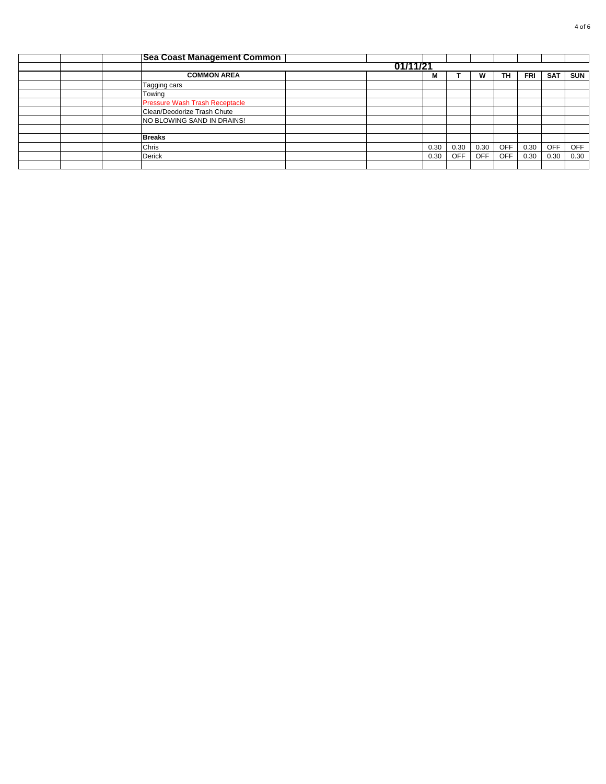|  | <b>Sea Coast Management Common</b> |  |  |      |            |            |            |      |            |            |  |  |  |
|--|------------------------------------|--|--|------|------------|------------|------------|------|------------|------------|--|--|--|
|  | 01/11/21                           |  |  |      |            |            |            |      |            |            |  |  |  |
|  | <b>COMMON AREA</b>                 |  |  | М    |            | w          | TН         | FRI  | <b>SAT</b> | <b>SUN</b> |  |  |  |
|  | Tagging cars                       |  |  |      |            |            |            |      |            |            |  |  |  |
|  | Towing                             |  |  |      |            |            |            |      |            |            |  |  |  |
|  | Pressure Wash Trash Receptacle     |  |  |      |            |            |            |      |            |            |  |  |  |
|  | Clean/Deodorize Trash Chute        |  |  |      |            |            |            |      |            |            |  |  |  |
|  | NO BLOWING SAND IN DRAINS!         |  |  |      |            |            |            |      |            |            |  |  |  |
|  |                                    |  |  |      |            |            |            |      |            |            |  |  |  |
|  | <b>Breaks</b>                      |  |  |      |            |            |            |      |            |            |  |  |  |
|  | Chris                              |  |  | 0.30 | 0.30       | 0.30       | <b>OFF</b> | 0.30 | <b>OFF</b> | <b>OFF</b> |  |  |  |
|  | Derick                             |  |  | 0.30 | <b>OFF</b> | <b>OFF</b> | <b>OFF</b> | 0.30 | 0.30       | 0.30       |  |  |  |
|  |                                    |  |  |      |            |            |            |      |            |            |  |  |  |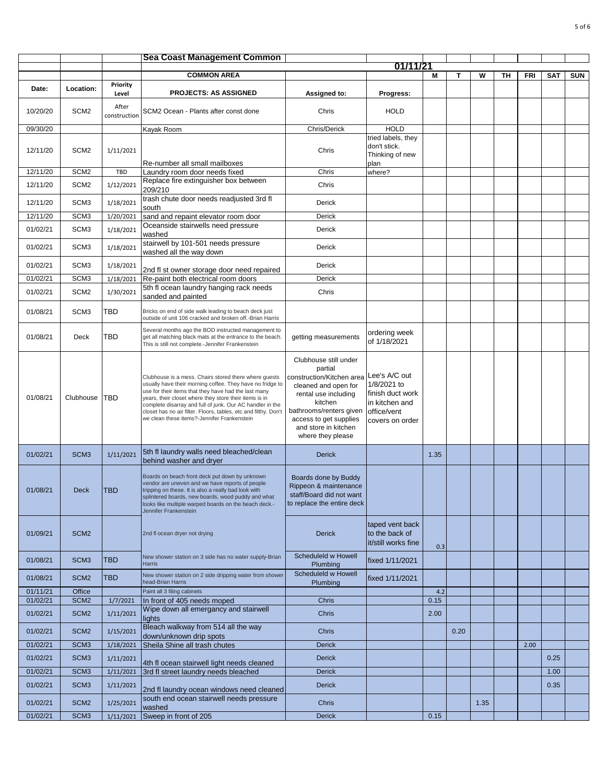|                      |                                      |                        | <b>Sea Coast Management Common</b>                                                                                                                                                                                                                                                                                                                                                                                  |                                                                                                                                                                                                                            |                                                                                                      |      |      |      |    |      |            |            |
|----------------------|--------------------------------------|------------------------|---------------------------------------------------------------------------------------------------------------------------------------------------------------------------------------------------------------------------------------------------------------------------------------------------------------------------------------------------------------------------------------------------------------------|----------------------------------------------------------------------------------------------------------------------------------------------------------------------------------------------------------------------------|------------------------------------------------------------------------------------------------------|------|------|------|----|------|------------|------------|
|                      |                                      |                        |                                                                                                                                                                                                                                                                                                                                                                                                                     |                                                                                                                                                                                                                            | 01/11/21                                                                                             |      |      |      |    |      |            |            |
|                      |                                      |                        | <b>COMMON AREA</b>                                                                                                                                                                                                                                                                                                                                                                                                  |                                                                                                                                                                                                                            |                                                                                                      | М    | т    | W    | TH | FRI  | <b>SAT</b> | <b>SUN</b> |
| Date:                | Location:                            | Priority<br>Level      | <b>PROJECTS: AS ASSIGNED</b>                                                                                                                                                                                                                                                                                                                                                                                        | Assigned to:                                                                                                                                                                                                               | Progress:                                                                                            |      |      |      |    |      |            |            |
| 10/20/20             | SCM <sub>2</sub>                     | After<br>construction  | SCM2 Ocean - Plants after const done                                                                                                                                                                                                                                                                                                                                                                                | Chris                                                                                                                                                                                                                      | <b>HOLD</b>                                                                                          |      |      |      |    |      |            |            |
| 09/30/20             |                                      |                        | Kayak Room                                                                                                                                                                                                                                                                                                                                                                                                          | Chris/Derick                                                                                                                                                                                                               | <b>HOLD</b>                                                                                          |      |      |      |    |      |            |            |
| 12/11/20             | SCM <sub>2</sub>                     | 1/11/2021              |                                                                                                                                                                                                                                                                                                                                                                                                                     | Chris                                                                                                                                                                                                                      | tried labels, they<br>don't stick.<br>Thinking of new                                                |      |      |      |    |      |            |            |
| 12/11/20             | SCM <sub>2</sub>                     | TBD                    | Re-number all small mailboxes<br>Laundry room door needs fixed                                                                                                                                                                                                                                                                                                                                                      | Chris                                                                                                                                                                                                                      | plan<br>where?                                                                                       |      |      |      |    |      |            |            |
|                      |                                      |                        | Replace fire extinguisher box between                                                                                                                                                                                                                                                                                                                                                                               |                                                                                                                                                                                                                            |                                                                                                      |      |      |      |    |      |            |            |
| 12/11/20             | SCM <sub>2</sub>                     | 1/12/2021              | 209/210<br>trash chute door needs readjusted 3rd fl                                                                                                                                                                                                                                                                                                                                                                 | Chris                                                                                                                                                                                                                      |                                                                                                      |      |      |      |    |      |            |            |
| 12/11/20<br>12/11/20 | SCM <sub>3</sub><br>SCM <sub>3</sub> | 1/18/2021<br>1/20/2021 | south<br>sand and repaint elevator room door                                                                                                                                                                                                                                                                                                                                                                        | Derick<br>Derick                                                                                                                                                                                                           |                                                                                                      |      |      |      |    |      |            |            |
| 01/02/21             | SCM <sub>3</sub>                     | 1/18/2021              | Oceanside stairwells need pressure                                                                                                                                                                                                                                                                                                                                                                                  | Derick                                                                                                                                                                                                                     |                                                                                                      |      |      |      |    |      |            |            |
| 01/02/21             | SCM <sub>3</sub>                     | 1/18/2021              | washed<br>stairwell by 101-501 needs pressure<br>washed all the way down                                                                                                                                                                                                                                                                                                                                            | Derick                                                                                                                                                                                                                     |                                                                                                      |      |      |      |    |      |            |            |
| 01/02/21             | SCM <sub>3</sub>                     | 1/18/2021              |                                                                                                                                                                                                                                                                                                                                                                                                                     | Derick                                                                                                                                                                                                                     |                                                                                                      |      |      |      |    |      |            |            |
| 01/02/21             | SCM <sub>3</sub>                     |                        | 2nd fl st owner storage door need repaired                                                                                                                                                                                                                                                                                                                                                                          | Derick                                                                                                                                                                                                                     |                                                                                                      |      |      |      |    |      |            |            |
|                      |                                      | 1/18/2021              | Re-paint both electrical room doors<br>5th fl ocean laundry hanging rack needs                                                                                                                                                                                                                                                                                                                                      |                                                                                                                                                                                                                            |                                                                                                      |      |      |      |    |      |            |            |
| 01/02/21             | SCM <sub>2</sub>                     | 1/30/2021              | sanded and painted                                                                                                                                                                                                                                                                                                                                                                                                  | Chris                                                                                                                                                                                                                      |                                                                                                      |      |      |      |    |      |            |            |
| 01/08/21             | SCM <sub>3</sub>                     | TBD                    | Bricks on end of side walk leading to beach deck just<br>outside of unit 106 cracked and broken off.-Brian Harris                                                                                                                                                                                                                                                                                                   |                                                                                                                                                                                                                            |                                                                                                      |      |      |      |    |      |            |            |
| 01/08/21             | Deck                                 | TBD                    | Several months ago the BOD instructed management to<br>get all matching black mats at the entrance to the beach.<br>This is still not complete.-Jennifer Frankenstein                                                                                                                                                                                                                                               | getting measurements                                                                                                                                                                                                       | ordering week<br>of 1/18/2021                                                                        |      |      |      |    |      |            |            |
| 01/08/21             | Clubhouse                            | TBD                    | Clubhouse is a mess. Chairs stored there where guests<br>usually have their morning coffee. They have no fridge to<br>use for their items that they have had the last many<br>years, their closet where they store their items is in<br>complete disarray and full of junk. Our AC handler in the<br>closet has no air filter. Floors, tables, etc and filthy. Don't<br>we clean these items?-Jennifer Frankenstein | Clubhouse still under<br>partial<br>construction/Kitchen area<br>cleaned and open for<br>rental use including<br>kitchen<br>bathrooms/renters given<br>access to get supplies<br>and store in kitchen<br>where they please | Lee's A/C out<br>1/8/2021 to<br>finish duct work<br>in kitchen and<br>office/vent<br>covers on order |      |      |      |    |      |            |            |
| 01/02/21             | SCM <sub>3</sub>                     | 1/11/2021              | 5th fl laundry walls need bleached/clean<br>behind washer and dryer                                                                                                                                                                                                                                                                                                                                                 | <b>Derick</b>                                                                                                                                                                                                              |                                                                                                      | 1.35 |      |      |    |      |            |            |
| 01/08/21             | <b>Deck</b>                          | <b>TBD</b>             | Boards on beach front deck put down by unknown<br>vendor are uneven and we have reports of people<br>tripping on these. It is also a really bad look with<br>plintered boards, new boards, wood puddy and what<br>looks like multiple warped boards on the beach deck.-<br>Jennifer Frankenstein                                                                                                                    | Boards done by Buddy<br>Rippeon & maintenance<br>staff/Board did not want<br>to replace the entire deck                                                                                                                    |                                                                                                      |      |      |      |    |      |            |            |
| 01/09/21             | SCM <sub>2</sub>                     |                        | 2nd fl ocean dryer not drying                                                                                                                                                                                                                                                                                                                                                                                       | <b>Derick</b>                                                                                                                                                                                                              | taped vent back<br>to the back of<br>it/still works fine                                             | 0.3  |      |      |    |      |            |            |
| 01/08/21             | SCM <sub>3</sub>                     | <b>TBD</b>             | New shower station on 3 side has no water supply-Brian<br><b>Harris</b>                                                                                                                                                                                                                                                                                                                                             | Scheduleld w Howell<br>Plumbing                                                                                                                                                                                            | fixed 1/11/2021                                                                                      |      |      |      |    |      |            |            |
| 01/08/21             | SCM <sub>2</sub>                     | <b>TBD</b>             | New shower station on 2 side dripping water from shower<br>head-Brian Harris                                                                                                                                                                                                                                                                                                                                        | Scheduleld w Howell<br>Plumbing                                                                                                                                                                                            | fixed 1/11/2021                                                                                      |      |      |      |    |      |            |            |
| 01/11/21             | Office                               |                        | Paint all 3 filing cabinets                                                                                                                                                                                                                                                                                                                                                                                         |                                                                                                                                                                                                                            |                                                                                                      | 4.2  |      |      |    |      |            |            |
| 01/02/21             | SCM <sub>2</sub>                     | 1/7/2021               | In front of 405 needs moped<br>Wipe down all emergancy and stairwell                                                                                                                                                                                                                                                                                                                                                | Chris                                                                                                                                                                                                                      |                                                                                                      | 0.15 |      |      |    |      |            |            |
| 01/02/21             | SCM <sub>2</sub>                     | 1/11/2021              | lights<br>Bleach walkway from 514 all the way                                                                                                                                                                                                                                                                                                                                                                       | Chris                                                                                                                                                                                                                      |                                                                                                      | 2.00 |      |      |    |      |            |            |
| 01/02/21             | SCM <sub>2</sub>                     | 1/15/2021              | down/unknown drip spots                                                                                                                                                                                                                                                                                                                                                                                             | Chris                                                                                                                                                                                                                      |                                                                                                      |      | 0.20 |      |    |      |            |            |
| 01/02/21             | SCM <sub>3</sub>                     | 1/18/2021              | Sheila Shine all trash chutes                                                                                                                                                                                                                                                                                                                                                                                       | <b>Derick</b>                                                                                                                                                                                                              |                                                                                                      |      |      |      |    | 2.00 |            |            |
| 01/02/21             | SCM <sub>3</sub>                     | 1/11/2021              | 4th fl ocean stairwell light needs cleaned                                                                                                                                                                                                                                                                                                                                                                          | <b>Derick</b>                                                                                                                                                                                                              |                                                                                                      |      |      |      |    |      | 0.25       |            |
| 01/02/21             | SCM <sub>3</sub>                     | 1/11/2021              | 3rd fl street laundry needs bleached                                                                                                                                                                                                                                                                                                                                                                                | <b>Derick</b>                                                                                                                                                                                                              |                                                                                                      |      |      |      |    |      | 1.00       |            |
| 01/02/21             | SCM <sub>3</sub>                     | 1/11/2021              | 2nd fl laundry ocean windows need cleaned                                                                                                                                                                                                                                                                                                                                                                           | <b>Derick</b>                                                                                                                                                                                                              |                                                                                                      |      |      |      |    |      | 0.35       |            |
| 01/02/21             | SCM <sub>2</sub>                     | 1/25/2021              | south end ocean stairwell needs pressure<br>washed                                                                                                                                                                                                                                                                                                                                                                  | Chris                                                                                                                                                                                                                      |                                                                                                      |      |      | 1.35 |    |      |            |            |
| 01/02/21             | SCM <sub>3</sub>                     | 1/11/2021              | Sweep in front of 205                                                                                                                                                                                                                                                                                                                                                                                               | <b>Derick</b>                                                                                                                                                                                                              |                                                                                                      | 0.15 |      |      |    |      |            |            |